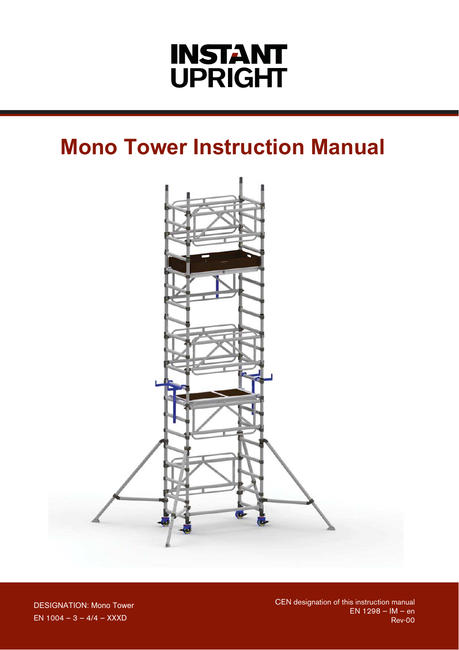# **INSTANT UPRIGHT**

## **Mono Tower Instruction Manual**



**DESIGNATION: Mono Tower** EN 1004 - 3 - 4/4 - XXXD

CEN designation of this instruction manual<br>EN 1298 – IM – en Rev-00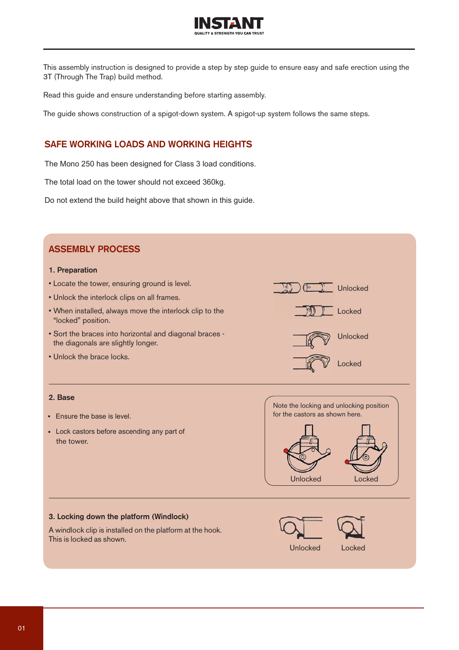

This assembly instruction is designed to provide a step by step guide to ensure easy and safe erection using the 3T (Through The Trap) build method.

Read this guide and ensure understanding before starting assembly.

The guide shows construction of a spigot-down system. A spigot-up system follows the same steps.

#### **SAFE WORKING LOADS AND WORKING HEIGHTS**

The Mono 250 has been designed for Class 3 load conditions.

The total load on the tower should not exceed 360kg.

Do not extend the build height above that shown in this guide.

### **ASSEMBLY PROCESS**

#### **1. Preparation**

- Locate the tower, ensuring ground is level.
- Unlock the interlock clips on all frames.
- When installed, always move the interlock clip to the "locked" position.
- Sort the braces into horizontal and diagonal braces the diagonals are slightly longer.
- Unlock the brace locks.

#### **2. Base**

- Ensure the base is level.
- Lock castors before ascending any part of the tower.



Unlocked

Locked

Unlocked

Locked

#### **3. Locking down the platform (Windlock)**

A windlock clip is installed on the platform at the hook. This is locked as shown.

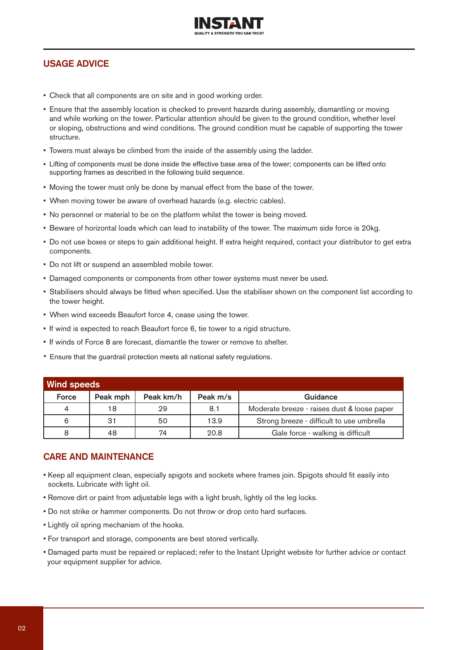

### **USAGE ADVICE**

- Check that all components are on site and in good working order.
- Ensure that the assembly location is checked to prevent hazards during assembly, dismantling or moving and while working on the tower. Particular attention should be given to the ground condition, whether level or sloping, obstructions and wind conditions. The ground condition must be capable of supporting the tower structure.
- Towers must always be climbed from the inside of the assembly using the ladder.
- Lifting of components must be done inside the effective base area of the tower; components can be lifted onto supporting frames as described in the following build sequence.
- . Moving the tower must only be done by manual effect from the base of the tower.
- When moving tower be aware of overhead hazards (e.g. electric cables).
- No personnel or material to be on the platform whilst the tower is being moved.
- . Beware of horizontal loads which can lead to instability of the tower. The maximum side force is 20kg.
- Do not use boxes or steps to gain additional height. If extra height required, contact your distributor to get extra components.
- Do not lift or suspend an assembled mobile tower.
- Damaged components or components from other tower systems must never be used.
- Stabilisers should always be fitted when specified. Use the stabiliser shown on the component list according to the tower height.
- When wind exceeds Beaufort force 4, cease using the tower.
- If wind is expected to reach Beaufort force 6, tie tower to a rigid structure.
- If winds of Force 8 are forecast, dismantle the tower or remove to shelter.
- Ensure that the guardrail protection meets all national safety regulations.

| Wind speeds    |          |           |          |                                             |  |  |  |  |
|----------------|----------|-----------|----------|---------------------------------------------|--|--|--|--|
| Force          | Peak mph | Peak km/h | Peak m/s | Guidance                                    |  |  |  |  |
| $\overline{4}$ | 18       | 29        | 8.1      | Moderate breeze - raises dust & loose paper |  |  |  |  |
| 6              | 31       | 50        | 13.9     | Strong breeze - difficult to use umbrella   |  |  |  |  |
| 8              | 48       | 74        | 20.8     | Gale force - walking is difficult           |  |  |  |  |

#### **CARE AND MAINTENANCE**

- Keep all equipment clean, especially spigots and sockets where frames join. Spigots should fit easily into sockets. Lubricate with light oil.
- . Remove dirt or paint from adjustable legs with a light brush, lightly oil the leg locks.
- . Do not strike or hammer components. Do not throw or drop onto hard surfaces.
- Lightly oil spring mechanism of the hooks.
- For transport and storage, components are best stored vertically.
- Damaged parts must be repaired or replaced; refer to the Instant Upright website for further advice or contact your equipment supplier for advice.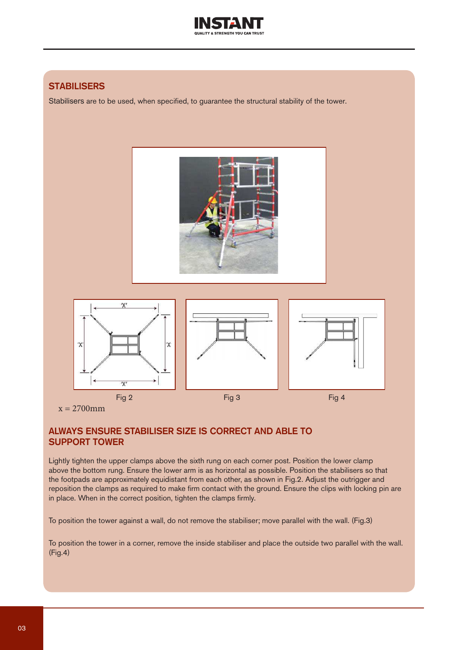

## **STABILISERS**

Stabilisers are to be used, when specified, to guarantee the structural stability of the tower.



## $x = 2700$ mm

#### **ALWAYS ENSURE STABILISER SIZE IS CORRECT AND ABLE TO SUPPORT TOWER**

Lightly tighten the upper clamps above the sixth rung on each corner post. Position the lower clamp above the bottom rung. Ensure the lower arm is as horizontal as possible. Position the stabilisers so that the footpads are approximately equidistant from each other, as shown in Fig.2. Adjust the outrigger and reposition the clamps as required to make firm contact with the ground. Ensure the clips with locking pin are in place. When in the correct position, tighten the clamps firmly.

To position the tower against a wall, do not remove the stabiliser; move parallel with the wall. (Fig.3)

To position the tower in a corner, remove the inside stabiliser and place the outside two parallel with the wall.  $(Fig.4)$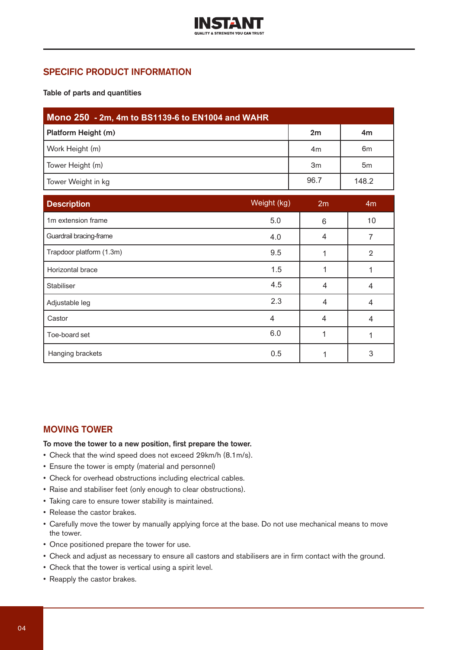

### **SPECIFIC PRODUCT INFORMATION**

**Table of parts and quantities**

| Mono 250 - 2m, 4m to BS1139-6 to EN1004 and WAHR |                |                |  |  |  |  |
|--------------------------------------------------|----------------|----------------|--|--|--|--|
| Platform Height (m)                              | 2m             | 4m             |  |  |  |  |
| Work Height (m)                                  | 4 <sub>m</sub> | 6 <sub>m</sub> |  |  |  |  |
| Tower Height (m)                                 | 3m             | 5 <sub>m</sub> |  |  |  |  |
| Tower Weight in kg                               | 96.7           | 148.2          |  |  |  |  |

| <b>Description</b>       | Weight (kg)    | 2m             | 4 <sub>m</sub> |
|--------------------------|----------------|----------------|----------------|
| 1m extension frame       | 5.0            | 6              | 10             |
| Guardrail bracing-frame  | 4.0            | 4              | 7              |
| Trapdoor platform (1.3m) | 9.5            |                | $\overline{2}$ |
| Horizontal brace         | 1.5            |                |                |
| Stabiliser               | 4.5            | 4              | 4              |
| Adjustable leg           | 2.3            | $\overline{4}$ | 4              |
| Castor                   | $\overline{4}$ | 4              | 4              |
| Toe-board set            | 6.0            | 1              |                |
| Hanging brackets         | 0.5            |                | 3              |

#### **MOVING TOWER**

**To move the tower to a new position, first prepare the tower.**

- Check that the wind speed does not exceed 29km/h (8.1m/s).
- Ensure the tower is empty (material and personnel)
- Check for overhead obstructions including electrical cables.
- Raise and stabiliser feet (only enough to clear obstructions).
- Taking care to ensure tower stability is maintained.
- Release the castor brakes.
- Carefully move the tower by manually applying force at the base. Do not use mechanical means to move the tower.
- Once positioned prepare the tower for use.
- Check and adjust as necessary to ensure all castors and stabilisers are in firm contact with the ground.
- Check that the tower is vertical using a spirit level.
- Reapply the castor brakes.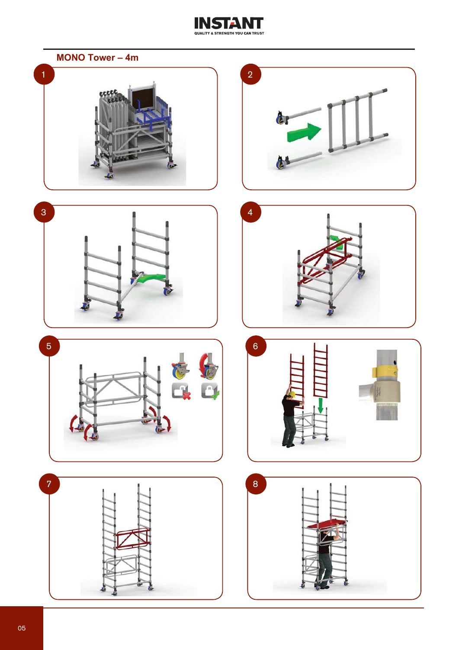

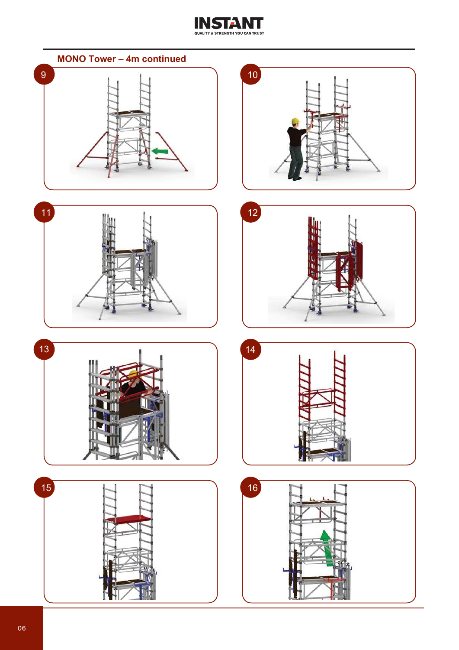